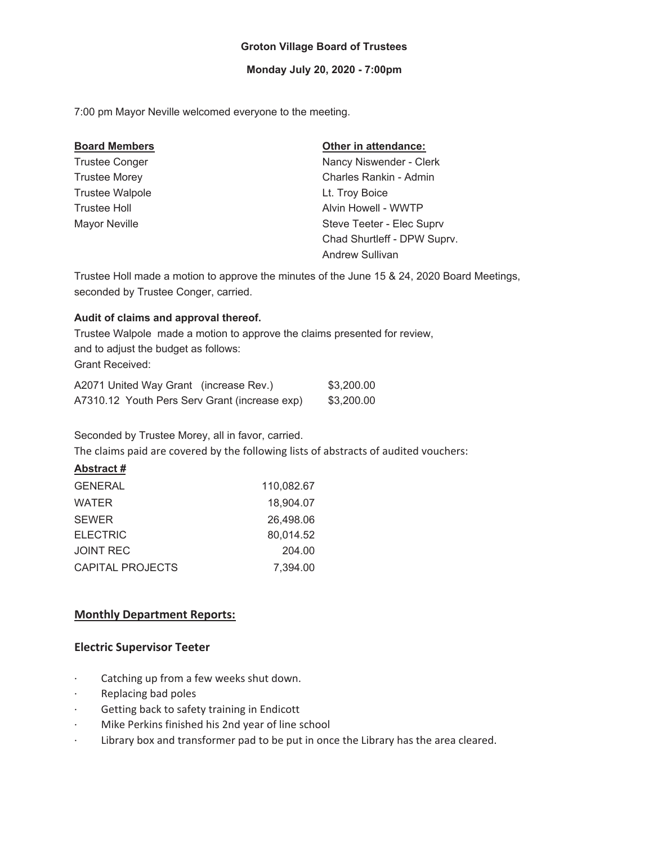## **Groton Village Board of Trustees**

#### **Monday July 20, 2020 - 7:00pm**

7:00 pm Mayor Neville welcomed everyone to the meeting.

| <b>Board Members</b>   | Other in attendance:        |
|------------------------|-----------------------------|
| <b>Trustee Conger</b>  | Nancy Niswender - Clerk     |
| <b>Trustee Morey</b>   | Charles Rankin - Admin      |
| <b>Trustee Walpole</b> | Lt. Troy Boice              |
| <b>Trustee Holl</b>    | Alvin Howell - WWTP         |
| <b>Mayor Neville</b>   | Steve Teeter - Elec Suprv   |
|                        | Chad Shurtleff - DPW Suprv. |
|                        | Andrew Sullivan             |

Trustee Holl made a motion to approve the minutes of the June 15 & 24, 2020 Board Meetings, seconded by Trustee Conger, carried.

#### **Audit of claims and approval thereof.**

Trustee Walpole made a motion to approve the claims presented for review, and to adjust the budget as follows: Grant Received:

| A2071 United Way Grant (increase Rev.)        | \$3,200.00 |
|-----------------------------------------------|------------|
| A7310.12 Youth Pers Serv Grant (increase exp) | \$3,200.00 |

Seconded by Trustee Morey, all in favor, carried.

The claims paid are covered by the following lists of abstracts of audited vouchers:

## **Abstract #**

| 110,082.67 |
|------------|
| 18,904.07  |
| 26,498.06  |
| 80,014.52  |
| 204.00     |
| 7.394.00   |
|            |

# **Monthly Department Reports:**

## **Electric Supervisor Teeter**

- catching up from a few weeks shut down.
- · Replacing bad poles
- Getting back to safety training in Endicott
- **Mike Perkins finished his 2nd year of line school**
- I Library box and transformer pad to be put in once the Library has the area cleared.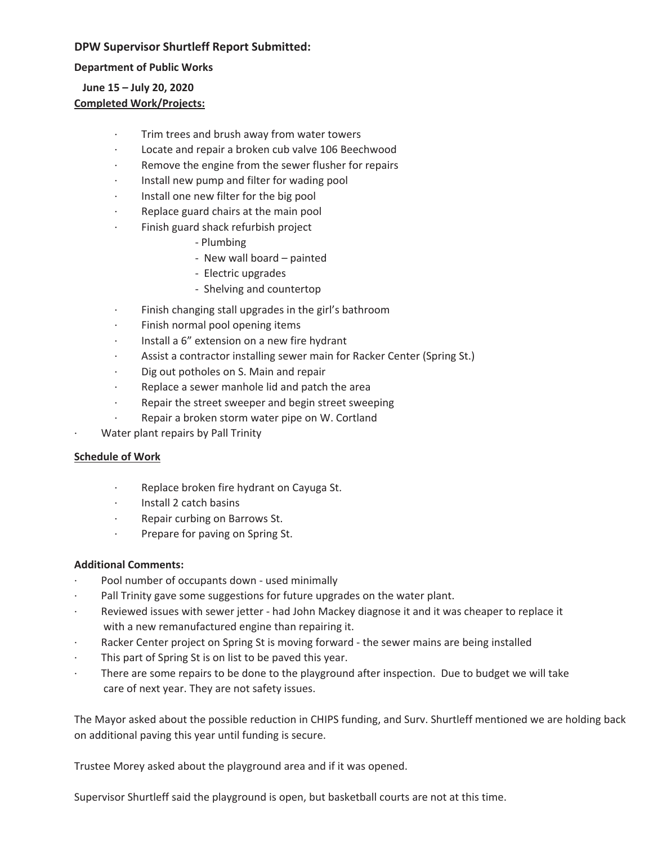# **DPW Supervisor Shurtleff Report Submitted:**

**Department of Public Works**

# **June 15 – July 20, 2020 Completed Work/Projects:**

- Trim trees and brush away from water towers
- Locate and repair a broken cub valve 106 Beechwood
- Remove the engine from the sewer flusher for repairs
- Install new pump and filter for wading pool
- Install one new filter for the big pool
- Replace guard chairs at the main pool
	- Finish guard shack refurbish project
		- Plumbing
		- New wall board painted
		- Electric upgrades
		- Shelving and countertop
- Finish changing stall upgrades in the girl's bathroom
- Finish normal pool opening items
- Install a 6" extension on a new fire hydrant
- Assist a contractor installing sewer main for Racker Center (Spring St.)
- Dig out potholes on S. Main and repair
- Replace a sewer manhole lid and patch the area
- $R$  Repair the street sweeper and begin street sweeping
- Repair a broken storm water pipe on W. Cortland
- Water plant repairs by Pall Trinity

## **Schedule of Work**

- Replace broken fire hydrant on Cayuga St.
- ͼInstall 2 catch basins
- Repair curbing on Barrows St.
- Prepare for paving on Spring St.

## **Additional Comments:**

- Pool number of occupants down used minimally
- Pall Trinity gave some suggestions for future upgrades on the water plant.
- Reviewed issues with sewer jetter had John Mackey diagnose it and it was cheaper to replace it with a new remanufactured engine than repairing it.
- Racker Center project on Spring St is moving forward the sewer mains are being installed
- This part of Spring St is on list to be paved this year.
- There are some repairs to be done to the playground after inspection. Due to budget we will take care of next year. They are not safety issues.

The Mayor asked about the possible reduction in CHIPS funding, and Surv. Shurtleff mentioned we are holding back on additional paving this year until funding is secure.

Trustee Morey asked about the playground area and if it was opened.

Supervisor Shurtleff said the playground is open, but basketball courts are not at this time.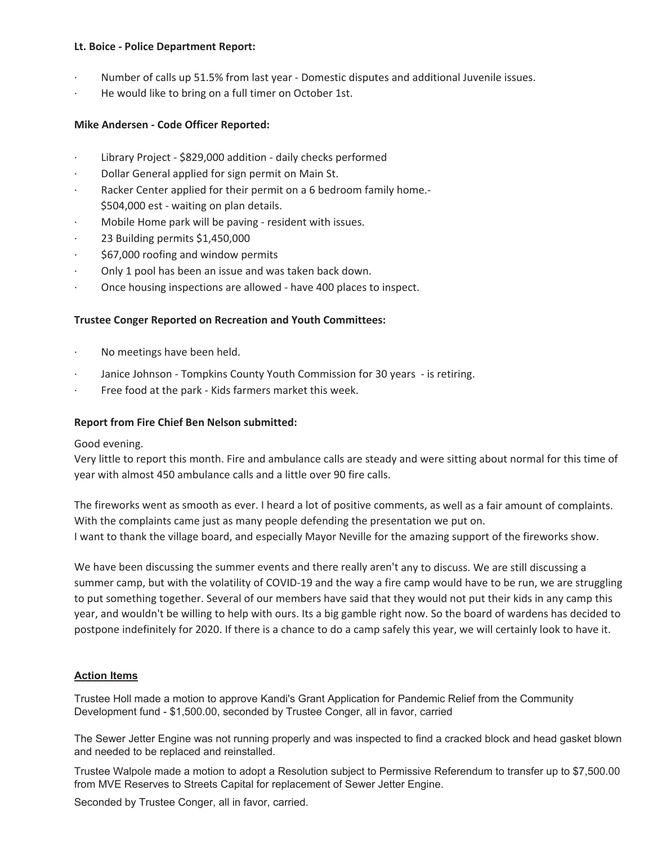### **Lt.** Boice - Police Department Report:

- Number of calls up 51.5% from last year Domestic disputes and additional Juvenile issues.
- He would like to bring on a full timer on October 1st.

#### **Mike Andersen - Code Officer Reported:**

- Library Project \$829,000 addition daily checks performed
- Dollar General applied for sign permit on Main St.
- Racker Center applied for their permit on a 6 bedroom family home.-\$504,000 est - waiting on plan details.
- Mobile Home park will be paving resident with issues.
- 23 Building permits \$1,450,000
- \$67,000 roofing and window permits
- Only 1 pool has been an issue and was taken back down.
- Once housing inspections are allowed have 400 places to inspect.

#### **Trustee Conger Reported on Recreation and Youth Committees:**

- No meetings have been held.
- Janice Johnson Tompkins County Youth Commission for 30 years is retiring.
- Free food at the park Kids farmers market this week.

#### **Report from Fire Chief Ben Nelson submitted:**

Good evening.

Very little to report this month. Fire and ambulance calls are steady and were sitting about normal for this time of year with almost 450 ambulance calls and a little over 90 fire calls.

The fireworks went as smooth as ever. I heard a lot of positive comments, as well as a fair amount of complaints. With the complaints came just as many people defending the presentation we put on. I want to thank the village board, and especially Mayor Neville for the amazing support of the fireworks show.

We have been discussing the summer events and there really aren't any to discuss. We are still discussing a summer camp, but with the volatility of COVID-19 and the way a fire camp would have to be run, we are struggling to put something together. Several of our members have said that they would not put their kids in any camp this year, and wouldn't be willing to help with ours. Its a big gamble right now. So the board of wardens has decided to postpone indefinitely for 2020. If there is a chance to do a camp safely this year, we will certainly look to have it.

#### **Action Items**

Trustee Holl made a motion to approve Kandi's Grant Application for Pandemic Relief from the Community Development fund - \$1,500.00, seconded by Trustee Conger, all in favor, carried

The Sewer Jetter Engine was not running properly and was inspected to find a cracked block and head gasket blown and needed to be replaced and reinstalled.

Trustee Walpole made a motion to adopt a Resolution subject to Permissive Referendum to transfer up to \$7,500.00 from MVE Reserves to Streets Capital for replacement of Sewer Jetter Engine.

Seconded by Trustee Conger, all in favor, carried.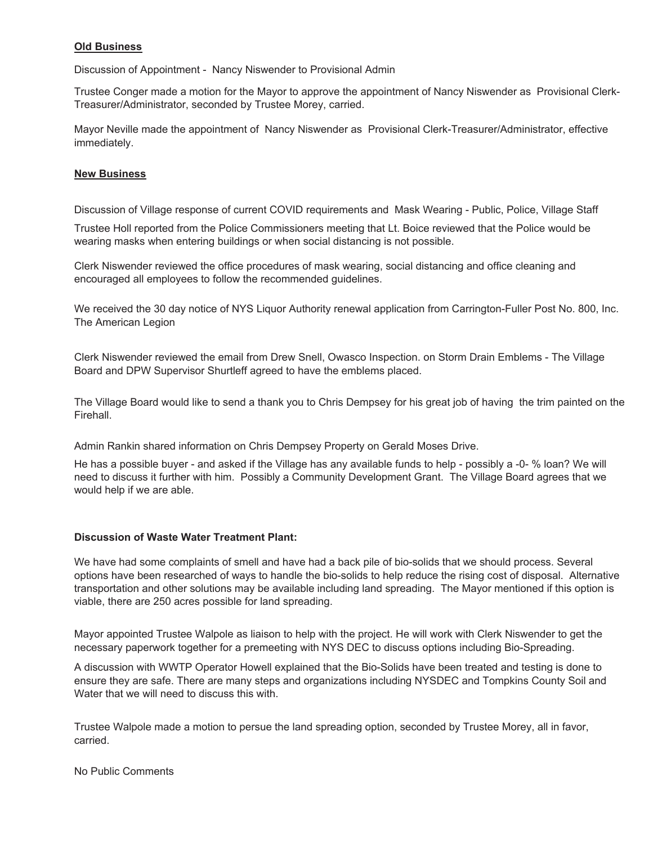## **Old Business**

Discussion of Appointment - Nancy Niswender to Provisional Admin

Trustee Conger made a motion for the Mayor to approve the appointment of Nancy Niswender as Provisional Clerk-Treasurer/Administrator, seconded by Trustee Morey, carried.

Mayor Neville made the appointment of Nancy Niswender as Provisional Clerk-Treasurer/Administrator, effective immediately.

### **New Business**

Discussion of Village response of current COVID requirements and Mask Wearing - Public, Police, Village Staff

Trustee Holl reported from the Police Commissioners meeting that Lt. Boice reviewed that the Police would be wearing masks when entering buildings or when social distancing is not possible.

Clerk Niswender reviewed the office procedures of mask wearing, social distancing and office cleaning and encouraged all employees to follow the recommended guidelines.

We received the 30 day notice of NYS Liquor Authority renewal application from Carrington-Fuller Post No. 800, Inc. The American Legion

Clerk Niswender reviewed the email from Drew Snell, Owasco Inspection. on Storm Drain Emblems - The Village Board and DPW Supervisor Shurtleff agreed to have the emblems placed.

The Village Board would like to send a thank you to Chris Dempsey for his great job of having the trim painted on the Firehall.

Admin Rankin shared information on Chris Dempsey Property on Gerald Moses Drive.

He has a possible buyer - and asked if the Village has any available funds to help - possibly a -0- % loan? We will need to discuss it further with him. Possibly a Community Development Grant. The Village Board agrees that we would help if we are able.

#### **Discussion of Waste Water Treatment Plant:**

We have had some complaints of smell and have had a back pile of bio-solids that we should process. Several options have been researched of ways to handle the bio-solids to help reduce the rising cost of disposal. Alternative transportation and other solutions may be available including land spreading. The Mayor mentioned if this option is viable, there are 250 acres possible for land spreading.

Mayor appointed Trustee Walpole as liaison to help with the project. He will work with Clerk Niswender to get the necessary paperwork together for a premeeting with NYS DEC to discuss options including Bio-Spreading.

A discussion with WWTP Operator Howell explained that the Bio-Solids have been treated and testing is done to ensure they are safe. There are many steps and organizations including NYSDEC and Tompkins County Soil and Water that we will need to discuss this with.

Trustee Walpole made a motion to persue the land spreading option, seconded by Trustee Morey, all in favor, carried.

No Public Comments